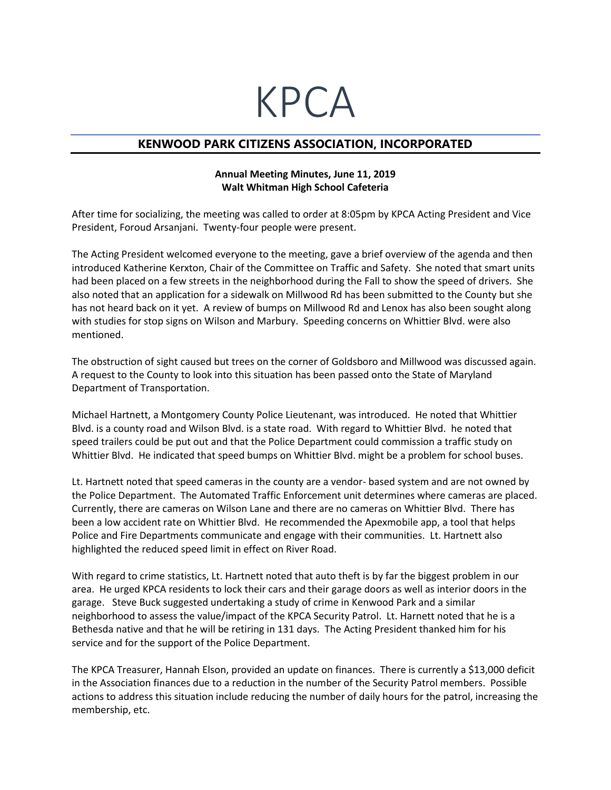## KPCA

## **KENWOOD PARK CITIZENS ASSOCIATION, INCORPORATED**

## **Annual Meeting Minutes, June 11, 2019 Walt Whitman High School Cafeteria**

After time for socializing, the meeting was called to order at 8:05pm by KPCA Acting President and Vice President, Foroud Arsanjani. Twenty-four people were present.

The Acting President welcomed everyone to the meeting, gave a brief overview of the agenda and then introduced Katherine Kerxton, Chair of the Committee on Traffic and Safety. She noted that smart units had been placed on a few streets in the neighborhood during the Fall to show the speed of drivers. She also noted that an application for a sidewalk on Millwood Rd has been submitted to the County but she has not heard back on it yet. A review of bumps on Millwood Rd and Lenox has also been sought along with studies for stop signs on Wilson and Marbury. Speeding concerns on Whittier Blvd. were also mentioned.

The obstruction of sight caused but trees on the corner of Goldsboro and Millwood was discussed again. A request to the County to look into this situation has been passed onto the State of Maryland Department of Transportation.

Michael Hartnett, a Montgomery County Police Lieutenant, was introduced. He noted that Whittier Blvd. is a county road and Wilson Blvd. is a state road. With regard to Whittier Blvd. he noted that speed trailers could be put out and that the Police Department could commission a traffic study on Whittier Blvd. He indicated that speed bumps on Whittier Blvd. might be a problem for school buses.

Lt. Hartnett noted that speed cameras in the county are a vendor- based system and are not owned by the Police Department. The Automated Traffic Enforcement unit determines where cameras are placed. Currently, there are cameras on Wilson Lane and there are no cameras on Whittier Blvd. There has been a low accident rate on Whittier Blvd. He recommended the Apexmobile app, a tool that helps Police and Fire Departments communicate and engage with their communities. Lt. Hartnett also highlighted the reduced speed limit in effect on River Road.

With regard to crime statistics, Lt. Hartnett noted that auto theft is by far the biggest problem in our area. He urged KPCA residents to lock their cars and their garage doors as well as interior doors in the garage. Steve Buck suggested undertaking a study of crime in Kenwood Park and a similar neighborhood to assess the value/impact of the KPCA Security Patrol. Lt. Harnett noted that he is a Bethesda native and that he will be retiring in 131 days. The Acting President thanked him for his service and for the support of the Police Department.

The KPCA Treasurer, Hannah Elson, provided an update on finances. There is currently a \$13,000 deficit in the Association finances due to a reduction in the number of the Security Patrol members. Possible actions to address this situation include reducing the number of daily hours for the patrol, increasing the membership, etc.